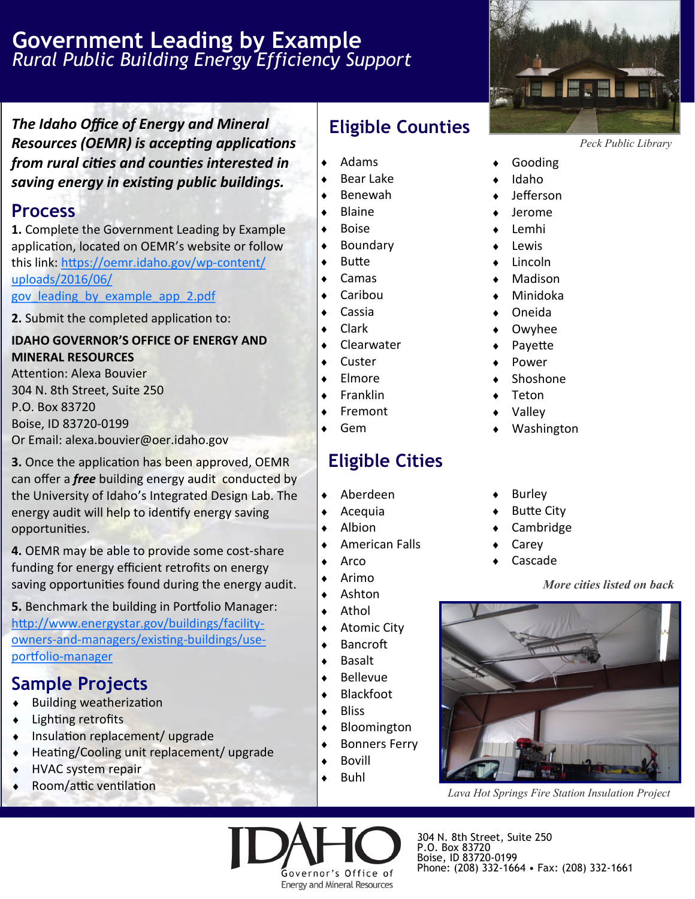## **Government Leading by Example** *Rural Public Building Energy Efficiency Support*

*The Idaho Office of Energy and Mineral Resources (OEMR) is accepting applications from rural cities and counties interested in saving energy in existing public buildings.* 

#### **Process**

**1.** Complete the Government Leading by Example application, located on OEMR's website or follow this link: [https://oemr.idaho.gov/wp](https://oemr.idaho.gov/wp-content/uploads/2016/06/gov_leading_by_example_app_2.pdf)-content/ [uploads/2016/06/](https://oemr.idaho.gov/wp-content/uploads/2016/06/gov_leading_by_example_app_2.pdf)

[gov\\_leading\\_by\\_example\\_app\\_2.pdf](https://oemr.idaho.gov/wp-content/uploads/2016/06/gov_leading_by_example_app_2.pdf)

**2.** Submit the completed application to:

#### **IDAHO GOVERNOR'S OFFICE OF ENERGY AND MINERAL RESOURCES**

Attention: Alexa Bouvier 304 N. 8th Street, Suite 250 P.O. Box 83720 Boise, ID 83720-0199 Or Email: alexa.bouvier@oer.idaho.gov

**3.** Once the application has been approved, OEMR can offer a *free* building energy audit conducted by the University of Idaho's Integrated Design Lab. The energy audit will help to identify energy saving opportunities.

**4.** OEMR may be able to provide some cost-share funding for energy efficient retrofits on energy saving opportunities found during the energy audit.

**5.** Benchmark the building in Portfolio Manager: [http://www.energystar.gov/buildings/facility](http://www.energystar.gov/buildings/facility-owners-and-managers/existing-buildings/use-portfolio-manager)owners-and-[managers/existing](http://www.energystar.gov/buildings/facility-owners-and-managers/existing-buildings/use-portfolio-manager)-buildings/useportfolio-[manager](http://www.energystar.gov/buildings/facility-owners-and-managers/existing-buildings/use-portfolio-manager)

## **Sample Projects**

- Building weatherization
- Lighting retrofits
- Insulation replacement/ upgrade
- Heating/Cooling unit replacement/ upgrade
- ◆ HVAC system repair
- Room/attic ventilation

# **Eligible Counties**

- $\triangleleft$  Adams
- Bear Lake
- Benewah
- Blaine
- $\bullet$  Boise
- Boundary
- Butte
- Camas
- Caribou
- Cassia
- Clark
- Clearwater
- Custer
- Elmore
- Franklin
- Fremont
- Gem

# **Eligible Cities**

- Aberdeen
- $\triangleleft$  Acequia
- Albion
- American Falls
- Arco
- Arimo
- Ashton
- Athol
- Atomic City
- Bancroft
- 
- 
- Bloomington
- Bonners Ferry
- 
- Buhl

Governor's Office of **Energy and Mineral Resources** 



- *Peck Public Library*
- Gooding
- Idaho
- Jefferson
- Jerome
- Lemhi
- Lewis
- Lincoln
- Madison
- Minidoka
- Oneida
- Owyhee
- Payette
- Power
- Shoshone
- Teton
- Valley
- Washington
- Burley
- Butte City
- Cambridge
- Carey
- Cascade

*More cities listed on back*



*Lava Hot Springs Fire Station Insulation Project*

- 
- Basalt
- Blackfoot
- **Bliss**

- 
- Bovill
- 

Bellevue